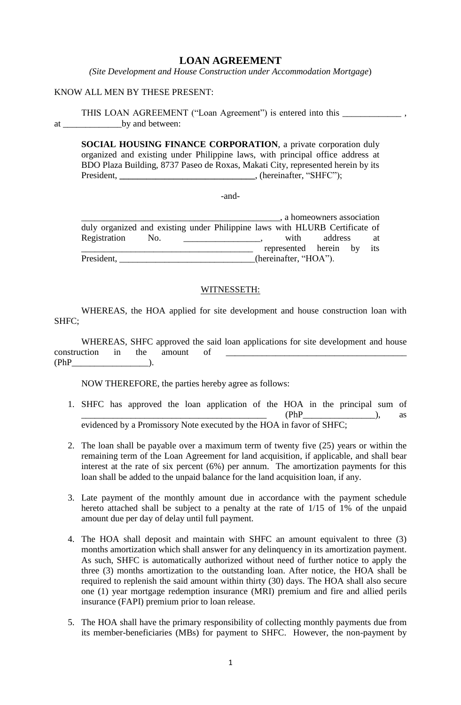## **LOAN AGREEMENT**

*(Site Development and House Construction under Accommodation Mortgage*)

### KNOW ALL MEN BY THESE PRESENT:

THIS LOAN AGREEMENT ("Loan Agreement") is entered into this at by and between:

**SOCIAL HOUSING FINANCE CORPORATION**, a private corporation duly organized and existing under Philippine laws, with principal office address at BDO Plaza Building, 8737 Paseo de Roxas, Makati City, represented herein by its President, \_\_\_\_\_\_\_\_\_\_\_\_\_\_\_\_\_\_\_\_\_\_\_\_\_\_\_\_\_\_\_, (hereinafter, "SHFC");

-and-

|                                                                             |     |  |                       |                       | , a homeowners association |     |
|-----------------------------------------------------------------------------|-----|--|-----------------------|-----------------------|----------------------------|-----|
| duly organized and existing under Philippine laws with HLURB Certificate of |     |  |                       |                       |                            |     |
| Registration                                                                | No. |  |                       | with                  | address                    | at  |
|                                                                             |     |  |                       | represented herein by |                            | its |
| President,                                                                  |     |  | (hereinafter, "HOA"). |                       |                            |     |

#### WITNESSETH:

WHEREAS, the HOA applied for site development and house construction loan with SHFC;

WHEREAS, SHFC approved the said loan applications for site development and house construction in the amount of  $(PhP)$  ).

NOW THEREFORE, the parties hereby agree as follows:

- 1. SHFC has approved the loan application of the HOA in the principal sum of  $(PhP$ <sup>1</sup>/<sub>1</sub> as evidenced by a Promissory Note executed by the HOA in favor of SHFC;
- 2. The loan shall be payable over a maximum term of twenty five (25) years or within the remaining term of the Loan Agreement for land acquisition, if applicable, and shall bear interest at the rate of six percent (6%) per annum. The amortization payments for this loan shall be added to the unpaid balance for the land acquisition loan, if any.
- 3. Late payment of the monthly amount due in accordance with the payment schedule hereto attached shall be subject to a penalty at the rate of 1/15 of 1% of the unpaid amount due per day of delay until full payment.
- 4. The HOA shall deposit and maintain with SHFC an amount equivalent to three (3) months amortization which shall answer for any delinquency in its amortization payment. As such, SHFC is automatically authorized without need of further notice to apply the three (3) months amortization to the outstanding loan. After notice, the HOA shall be required to replenish the said amount within thirty (30) days. The HOA shall also secure one (1) year mortgage redemption insurance (MRI) premium and fire and allied perils insurance (FAPI) premium prior to loan release.
- 5. The HOA shall have the primary responsibility of collecting monthly payments due from its member-beneficiaries (MBs) for payment to SHFC. However, the non-payment by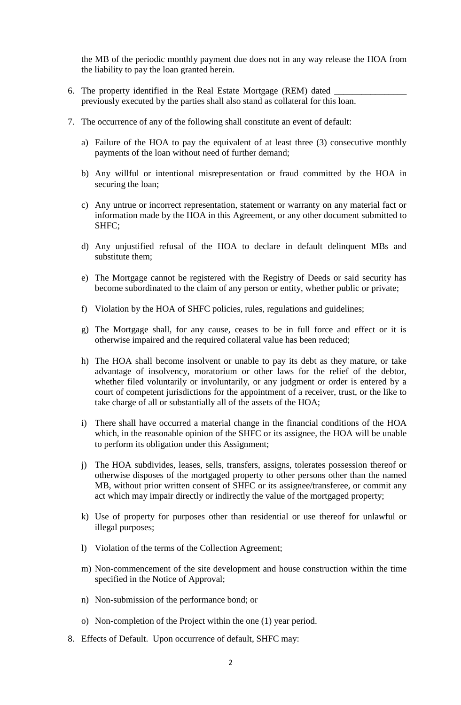the MB of the periodic monthly payment due does not in any way release the HOA from the liability to pay the loan granted herein.

- 6. The property identified in the Real Estate Mortgage (REM) dated previously executed by the parties shall also stand as collateral for this loan.
- 7. The occurrence of any of the following shall constitute an event of default:
	- a) Failure of the HOA to pay the equivalent of at least three (3) consecutive monthly payments of the loan without need of further demand;
	- b) Any willful or intentional misrepresentation or fraud committed by the HOA in securing the loan;
	- c) Any untrue or incorrect representation, statement or warranty on any material fact or information made by the HOA in this Agreement, or any other document submitted to SHFC;
	- d) Any unjustified refusal of the HOA to declare in default delinquent MBs and substitute them;
	- e) The Mortgage cannot be registered with the Registry of Deeds or said security has become subordinated to the claim of any person or entity, whether public or private;
	- f) Violation by the HOA of SHFC policies, rules, regulations and guidelines;
	- g) The Mortgage shall, for any cause, ceases to be in full force and effect or it is otherwise impaired and the required collateral value has been reduced;
	- h) The HOA shall become insolvent or unable to pay its debt as they mature, or take advantage of insolvency, moratorium or other laws for the relief of the debtor, whether filed voluntarily or involuntarily, or any judgment or order is entered by a court of competent jurisdictions for the appointment of a receiver, trust, or the like to take charge of all or substantially all of the assets of the HOA;
	- i) There shall have occurred a material change in the financial conditions of the HOA which, in the reasonable opinion of the SHFC or its assignee, the HOA will be unable to perform its obligation under this Assignment;
	- j) The HOA subdivides, leases, sells, transfers, assigns, tolerates possession thereof or otherwise disposes of the mortgaged property to other persons other than the named MB, without prior written consent of SHFC or its assignee/transferee, or commit any act which may impair directly or indirectly the value of the mortgaged property;
	- k) Use of property for purposes other than residential or use thereof for unlawful or illegal purposes;
	- l) Violation of the terms of the Collection Agreement;
	- m) Non-commencement of the site development and house construction within the time specified in the Notice of Approval;
	- n) Non-submission of the performance bond; or
	- o) Non-completion of the Project within the one (1) year period.
- 8. Effects of Default. Upon occurrence of default, SHFC may: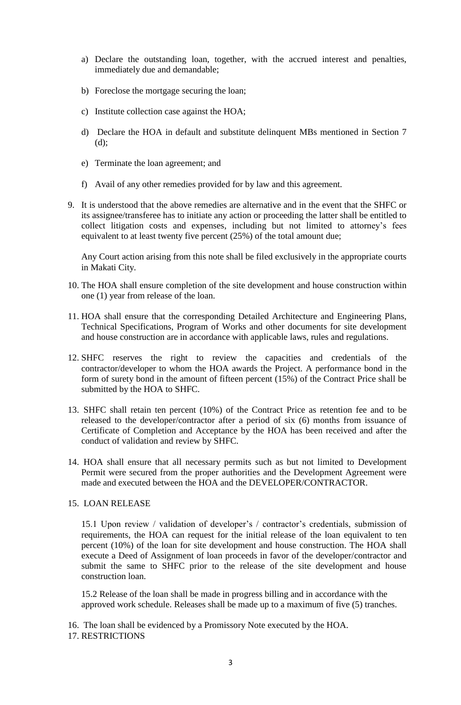- a) Declare the outstanding loan, together, with the accrued interest and penalties, immediately due and demandable;
- b) Foreclose the mortgage securing the loan;
- c) Institute collection case against the HOA;
- d) Declare the HOA in default and substitute delinquent MBs mentioned in Section 7 (d);
- e) Terminate the loan agreement; and
- f) Avail of any other remedies provided for by law and this agreement.
- 9. It is understood that the above remedies are alternative and in the event that the SHFC or its assignee/transferee has to initiate any action or proceeding the latter shall be entitled to collect litigation costs and expenses, including but not limited to attorney's fees equivalent to at least twenty five percent (25%) of the total amount due;

Any Court action arising from this note shall be filed exclusively in the appropriate courts in Makati City.

- 10. The HOA shall ensure completion of the site development and house construction within one (1) year from release of the loan.
- 11. HOA shall ensure that the corresponding Detailed Architecture and Engineering Plans, Technical Specifications, Program of Works and other documents for site development and house construction are in accordance with applicable laws, rules and regulations.
- 12. SHFC reserves the right to review the capacities and credentials of the contractor/developer to whom the HOA awards the Project. A performance bond in the form of surety bond in the amount of fifteen percent (15%) of the Contract Price shall be submitted by the HOA to SHFC.
- 13. SHFC shall retain ten percent (10%) of the Contract Price as retention fee and to be released to the developer/contractor after a period of six (6) months from issuance of Certificate of Completion and Acceptance by the HOA has been received and after the conduct of validation and review by SHFC.
- 14. HOA shall ensure that all necessary permits such as but not limited to Development Permit were secured from the proper authorities and the Development Agreement were made and executed between the HOA and the DEVELOPER/CONTRACTOR.

#### 15. LOAN RELEASE

15.1 Upon review / validation of developer's / contractor's credentials, submission of requirements, the HOA can request for the initial release of the loan equivalent to ten percent (10%) of the loan for site development and house construction. The HOA shall execute a Deed of Assignment of loan proceeds in favor of the developer/contractor and submit the same to SHFC prior to the release of the site development and house construction loan.

15.2 Release of the loan shall be made in progress billing and in accordance with the approved work schedule. Releases shall be made up to a maximum of five (5) tranches.

16. The loan shall be evidenced by a Promissory Note executed by the HOA.

17. RESTRICTIONS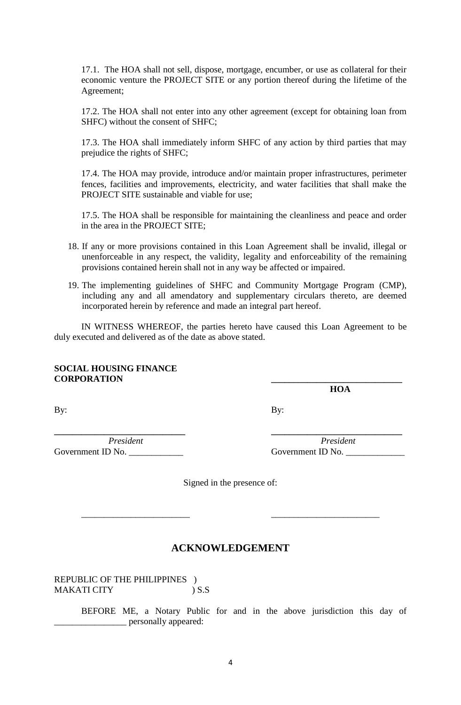17.1. The HOA shall not sell, dispose, mortgage, encumber, or use as collateral for their economic venture the PROJECT SITE or any portion thereof during the lifetime of the Agreement;

17.2. The HOA shall not enter into any other agreement (except for obtaining loan from SHFC) without the consent of SHFC;

17.3. The HOA shall immediately inform SHFC of any action by third parties that may prejudice the rights of SHFC;

17.4. The HOA may provide, introduce and/or maintain proper infrastructures, perimeter fences, facilities and improvements, electricity, and water facilities that shall make the PROJECT SITE sustainable and viable for use;

17.5. The HOA shall be responsible for maintaining the cleanliness and peace and order in the area in the PROJECT SITE;

- 18. If any or more provisions contained in this Loan Agreement shall be invalid, illegal or unenforceable in any respect, the validity, legality and enforceability of the remaining provisions contained herein shall not in any way be affected or impaired.
- 19. The implementing guidelines of SHFC and Community Mortgage Program (CMP), including any and all amendatory and supplementary circulars thereto, are deemed incorporated herein by reference and made an integral part hereof.

IN WITNESS WHEREOF, the parties hereto have caused this Loan Agreement to be duly executed and delivered as of the date as above stated.

#### **SOCIAL HOUSING FINANCE CORPORATION \_\_\_\_\_\_\_\_\_\_\_\_\_\_\_\_\_\_\_\_\_\_\_\_\_\_\_\_\_**

 **HOA** 

By: By:

Government ID No. \_\_\_\_\_\_\_\_\_\_\_\_ Government ID No. \_\_\_\_\_\_\_\_\_\_\_\_\_

*President President*

Signed in the presence of:

\_\_\_\_\_\_\_\_\_\_\_\_\_\_\_\_\_\_\_\_\_\_\_\_ \_\_\_\_\_\_\_\_\_\_\_\_\_\_\_\_\_\_\_\_\_\_\_\_

**\_\_\_\_\_\_\_\_\_\_\_\_\_\_\_\_\_\_\_\_\_\_\_\_\_\_\_\_\_ \_\_\_\_\_\_\_\_\_\_\_\_\_\_\_\_\_\_\_\_\_\_\_\_\_\_\_\_\_** 

# **ACKNOWLEDGEMENT**

REPUBLIC OF THE PHILIPPINES ) MAKATI CITY ) S.S

> BEFORE ME, a Notary Public for and in the above jurisdiction this day of \_\_\_\_\_\_\_\_\_\_\_\_\_\_\_\_ personally appeared: